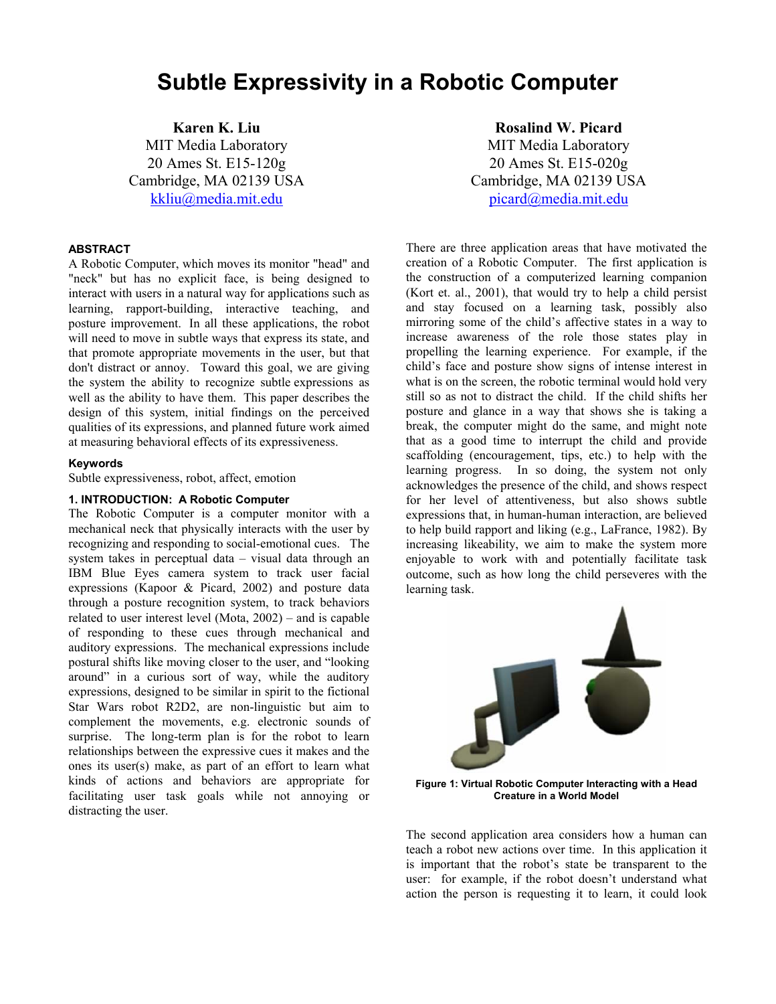# **Subtle Expressivity in a Robotic Computer**

**Karen K. Liu**  MIT Media Laboratory 20 Ames St. E15-120g Cambridge, MA 02139 USA kkliu@media.mit.edu

## **ABSTRACT**

A Robotic Computer, which moves its monitor "head" and "neck" but has no explicit face, is being designed to interact with users in a natural way for applications such as learning, rapport-building, interactive teaching, and posture improvement. In all these applications, the robot will need to move in subtle ways that express its state, and that promote appropriate movements in the user, but that don't distract or annoy. Toward this goal, we are giving the system the ability to recognize subtle expressions as well as the ability to have them. This paper describes the design of this system, initial findings on the perceived qualities of its expressions, and planned future work aimed at measuring behavioral effects of its expressiveness.

#### **Keywords**

Subtle expressiveness, robot, affect, emotion

### **1. INTRODUCTION: A Robotic Computer**

The Robotic Computer is a computer monitor with a mechanical neck that physically interacts with the user by recognizing and responding to social-emotional cues. The system takes in perceptual data – visual data through an IBM Blue Eyes camera system to track user facial expressions (Kapoor & Picard, 2002) and posture data through a posture recognition system, to track behaviors related to user interest level (Mota, 2002) – and is capable of responding to these cues through mechanical and auditory expressions. The mechanical expressions include postural shifts like moving closer to the user, and "looking around" in a curious sort of way, while the auditory expressions, designed to be similar in spirit to the fictional Star Wars robot R2D2, are non-linguistic but aim to complement the movements, e.g. electronic sounds of surprise. The long-term plan is for the robot to learn relationships between the expressive cues it makes and the ones its user(s) make, as part of an effort to learn what kinds of actions and behaviors are appropriate for facilitating user task goals while not annoying or distracting the user.

**Rosalind W. Picard**  MIT Media Laboratory 20 Ames St. E15-020g Cambridge, MA 02139 USA picard@media.mit.edu

There are three application areas that have motivated the creation of a Robotic Computer. The first application is the construction of a computerized learning companion (Kort et. al., 2001), that would try to help a child persist and stay focused on a learning task, possibly also mirroring some of the child's affective states in a way to increase awareness of the role those states play in propelling the learning experience. For example, if the child's face and posture show signs of intense interest in what is on the screen, the robotic terminal would hold very still so as not to distract the child. If the child shifts her posture and glance in a way that shows she is taking a break, the computer might do the same, and might note that as a good time to interrupt the child and provide scaffolding (encouragement, tips, etc.) to help with the learning progress. In so doing, the system not only acknowledges the presence of the child, and shows respect for her level of attentiveness, but also shows subtle expressions that, in human-human interaction, are believed to help build rapport and liking (e.g., LaFrance, 1982). By increasing likeability, we aim to make the system more enjoyable to work with and potentially facilitate task outcome, such as how long the child perseveres with the learning task.



**Figure 1: Virtual Robotic Computer Interacting with a Head Creature in a World Model** 

The second application area considers how a human can teach a robot new actions over time. In this application it is important that the robot's state be transparent to the user: for example, if the robot doesn't understand what action the person is requesting it to learn, it could look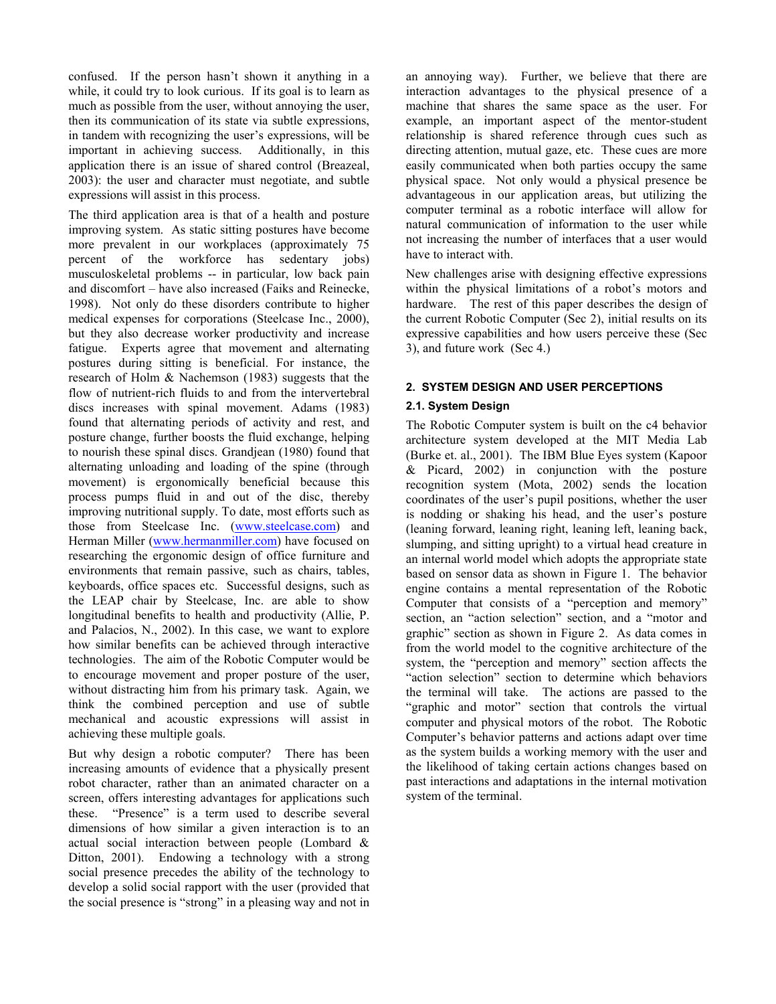confused. If the person hasn't shown it anything in a while, it could try to look curious. If its goal is to learn as much as possible from the user, without annoying the user, then its communication of its state via subtle expressions, in tandem with recognizing the user's expressions, will be important in achieving success. Additionally, in this application there is an issue of shared control (Breazeal, 2003): the user and character must negotiate, and subtle expressions will assist in this process.

The third application area is that of a health and posture improving system. As static sitting postures have become more prevalent in our workplaces (approximately 75 percent of the workforce has sedentary jobs) musculoskeletal problems -- in particular, low back pain and discomfort – have also increased (Faiks and Reinecke, 1998). Not only do these disorders contribute to higher medical expenses for corporations (Steelcase Inc., 2000), but they also decrease worker productivity and increase fatigue. Experts agree that movement and alternating postures during sitting is beneficial. For instance, the research of Holm & Nachemson (1983) suggests that the flow of nutrient-rich fluids to and from the intervertebral discs increases with spinal movement. Adams (1983) found that alternating periods of activity and rest, and posture change, further boosts the fluid exchange, helping to nourish these spinal discs. Grandjean (1980) found that alternating unloading and loading of the spine (through movement) is ergonomically beneficial because this process pumps fluid in and out of the disc, thereby improving nutritional supply. To date, most efforts such as those from Steelcase Inc. (www.steelcase.com) and Herman Miller (www.hermanmiller.com) have focused on researching the ergonomic design of office furniture and environments that remain passive, such as chairs, tables, keyboards, office spaces etc. Successful designs, such as the LEAP chair by Steelcase, Inc. are able to show longitudinal benefits to health and productivity (Allie, P. and Palacios, N., 2002). In this case, we want to explore how similar benefits can be achieved through interactive technologies. The aim of the Robotic Computer would be to encourage movement and proper posture of the user, without distracting him from his primary task. Again, we think the combined perception and use of subtle mechanical and acoustic expressions will assist in achieving these multiple goals.

But why design a robotic computer? There has been increasing amounts of evidence that a physically present robot character, rather than an animated character on a screen, offers interesting advantages for applications such these. "Presence" is a term used to describe several dimensions of how similar a given interaction is to an actual social interaction between people (Lombard & Ditton, 2001). Endowing a technology with a strong social presence precedes the ability of the technology to develop a solid social rapport with the user (provided that the social presence is "strong" in a pleasing way and not in an annoying way). Further, we believe that there are interaction advantages to the physical presence of a machine that shares the same space as the user. For example, an important aspect of the mentor-student relationship is shared reference through cues such as directing attention, mutual gaze, etc. These cues are more easily communicated when both parties occupy the same physical space. Not only would a physical presence be advantageous in our application areas, but utilizing the computer terminal as a robotic interface will allow for natural communication of information to the user while not increasing the number of interfaces that a user would have to interact with.

New challenges arise with designing effective expressions within the physical limitations of a robot's motors and hardware. The rest of this paper describes the design of the current Robotic Computer (Sec 2), initial results on its expressive capabilities and how users perceive these (Sec 3), and future work (Sec 4.)

# **2. SYSTEM DESIGN AND USER PERCEPTIONS**

# **2.1. System Design**

The Robotic Computer system is built on the c4 behavior architecture system developed at the MIT Media Lab (Burke et. al., 2001). The IBM Blue Eyes system (Kapoor & Picard, 2002) in conjunction with the posture recognition system (Mota, 2002) sends the location coordinates of the user's pupil positions, whether the user is nodding or shaking his head, and the user's posture (leaning forward, leaning right, leaning left, leaning back, slumping, and sitting upright) to a virtual head creature in an internal world model which adopts the appropriate state based on sensor data as shown in Figure 1. The behavior engine contains a mental representation of the Robotic Computer that consists of a "perception and memory" section, an "action selection" section, and a "motor and graphic" section as shown in Figure 2. As data comes in from the world model to the cognitive architecture of the system, the "perception and memory" section affects the "action selection" section to determine which behaviors the terminal will take. The actions are passed to the "graphic and motor" section that controls the virtual computer and physical motors of the robot. The Robotic Computer's behavior patterns and actions adapt over time as the system builds a working memory with the user and the likelihood of taking certain actions changes based on past interactions and adaptations in the internal motivation system of the terminal.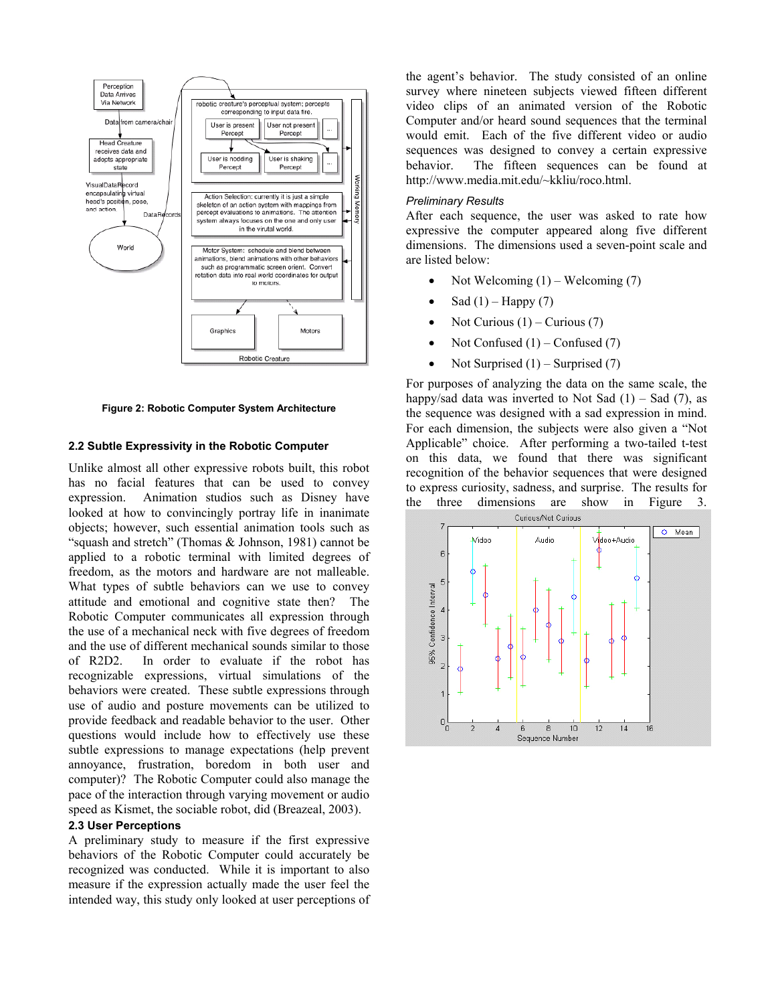

**Figure 2: Robotic Computer System Architecture** 

## **2.2 Subtle Expressivity in the Robotic Computer**

Unlike almost all other expressive robots built, this robot has no facial features that can be used to convey expression. Animation studios such as Disney have looked at how to convincingly portray life in inanimate objects; however, such essential animation tools such as "squash and stretch" (Thomas & Johnson, 1981) cannot be applied to a robotic terminal with limited degrees of freedom, as the motors and hardware are not malleable. What types of subtle behaviors can we use to convey attitude and emotional and cognitive state then? The Robotic Computer communicates all expression through the use of a mechanical neck with five degrees of freedom and the use of different mechanical sounds similar to those of R2D2. In order to evaluate if the robot has recognizable expressions, virtual simulations of the behaviors were created. These subtle expressions through use of audio and posture movements can be utilized to provide feedback and readable behavior to the user. Other questions would include how to effectively use these subtle expressions to manage expectations (help prevent annoyance, frustration, boredom in both user and computer)? The Robotic Computer could also manage the pace of the interaction through varying movement or audio speed as Kismet, the sociable robot, did (Breazeal, 2003).

### **2.3 User Perceptions**

A preliminary study to measure if the first expressive behaviors of the Robotic Computer could accurately be recognized was conducted. While it is important to also measure if the expression actually made the user feel the intended way, this study only looked at user perceptions of the agent's behavior. The study consisted of an online survey where nineteen subjects viewed fifteen different video clips of an animated version of the Robotic Computer and/or heard sound sequences that the terminal would emit. Each of the five different video or audio sequences was designed to convey a certain expressive behavior. The fifteen sequences can be found at http://www.media.mit.edu/~kkliu/roco.html.

#### *Preliminary Results*

After each sequence, the user was asked to rate how expressive the computer appeared along five different dimensions. The dimensions used a seven-point scale and are listed below:

- Not Welcoming  $(1)$  Welcoming  $(7)$
- Sad  $(1)$  Happy  $(7)$
- Not Curious  $(1)$  Curious  $(7)$
- Not Confused  $(1)$  Confused  $(7)$
- Not Surprised  $(1)$  Surprised  $(7)$

For purposes of analyzing the data on the same scale, the happy/sad data was inverted to Not Sad  $(1)$  – Sad  $(7)$ , as the sequence was designed with a sad expression in mind. For each dimension, the subjects were also given a "Not Applicable" choice. After performing a two-tailed t-test on this data, we found that there was significant recognition of the behavior sequences that were designed to express curiosity, sadness, and surprise. The results for the three dimensions are show in Figure 3.

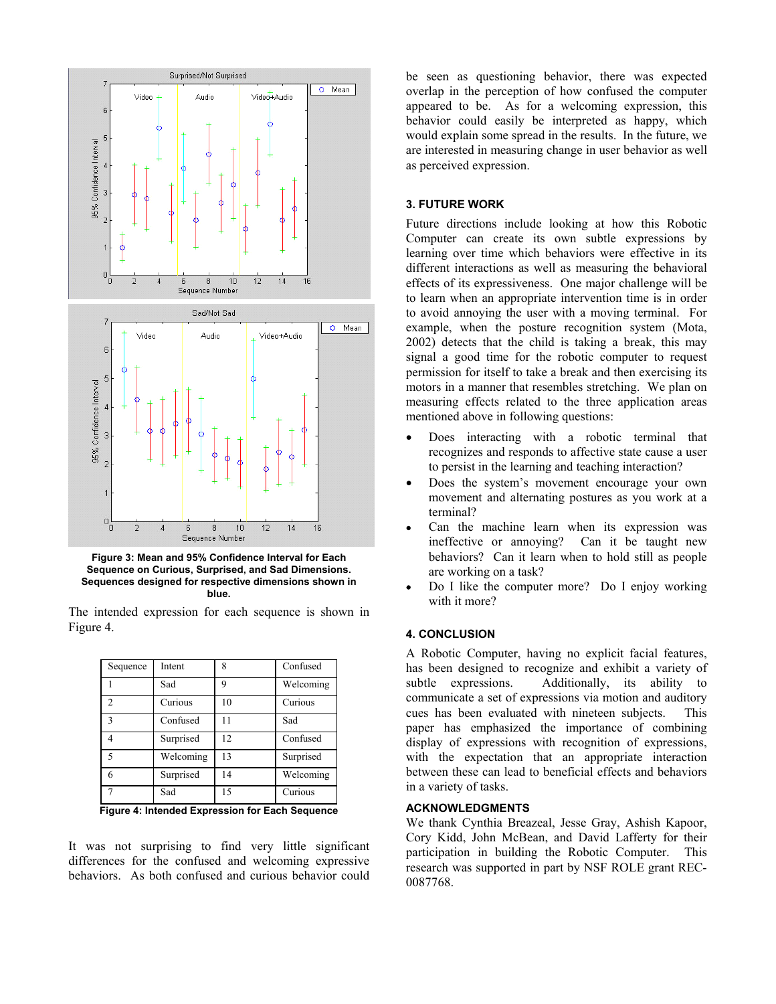

**Figure 3: Mean and 95% Confidence Interval for Each Sequence on Curious, Surprised, and Sad Dimensions. Sequences designed for respective dimensions shown in blue.** 

The intended expression for each sequence is shown in Figure 4.

| Sequence       | Intent    | 8  | Confused  |
|----------------|-----------|----|-----------|
|                | Sad       | q  | Welcoming |
| $\mathfrak{D}$ | Curious   | 10 | Curious   |
| $\mathbf{3}$   | Confused  | 11 | Sad       |
| 4              | Surprised | 12 | Confused  |
| 5              | Welcoming | 13 | Surprised |
| 6              | Surprised | 14 | Welcoming |
|                | Sad       | 15 | Curious   |

**Figure 4: Intended Expression for Each Sequence** 

It was not surprising to find very little significant differences for the confused and welcoming expressive behaviors. As both confused and curious behavior could be seen as questioning behavior, there was expected overlap in the perception of how confused the computer appeared to be. As for a welcoming expression, this behavior could easily be interpreted as happy, which would explain some spread in the results. In the future, we are interested in measuring change in user behavior as well as perceived expression.

#### **3. FUTURE WORK**

Future directions include looking at how this Robotic Computer can create its own subtle expressions by learning over time which behaviors were effective in its different interactions as well as measuring the behavioral effects of its expressiveness. One major challenge will be to learn when an appropriate intervention time is in order to avoid annoying the user with a moving terminal. For example, when the posture recognition system (Mota, 2002) detects that the child is taking a break, this may signal a good time for the robotic computer to request permission for itself to take a break and then exercising its motors in a manner that resembles stretching. We plan on measuring effects related to the three application areas mentioned above in following questions:

- Does interacting with a robotic terminal that recognizes and responds to affective state cause a user to persist in the learning and teaching interaction?
- Does the system's movement encourage your own movement and alternating postures as you work at a terminal?
- Can the machine learn when its expression was ineffective or annoying? Can it be taught new behaviors? Can it learn when to hold still as people are working on a task?
- Do I like the computer more? Do I enjoy working with it more?

# **4. CONCLUSION**

A Robotic Computer, having no explicit facial features, has been designed to recognize and exhibit a variety of subtle expressions. Additionally, its ability to communicate a set of expressions via motion and auditory cues has been evaluated with nineteen subjects. This paper has emphasized the importance of combining display of expressions with recognition of expressions, with the expectation that an appropriate interaction between these can lead to beneficial effects and behaviors in a variety of tasks.

## **ACKNOWLEDGMENTS**

We thank Cynthia Breazeal, Jesse Gray, Ashish Kapoor, Cory Kidd, John McBean, and David Lafferty for their participation in building the Robotic Computer. This research was supported in part by NSF ROLE grant REC-0087768.